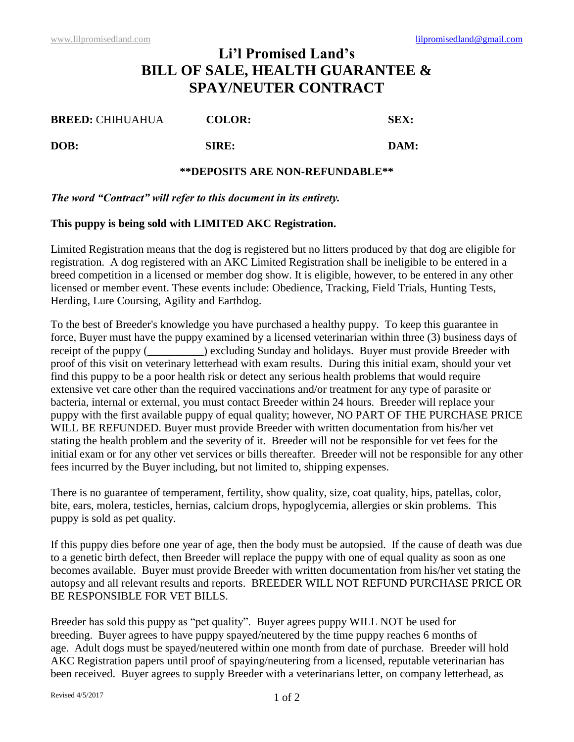## **Li'l Promised Land's BILL OF SALE, HEALTH GUARANTEE & SPAY/NEUTER CONTRACT**

| <b>BREED: CHIHUAHUA</b> | <b>COLOR:</b> | SEX: |
|-------------------------|---------------|------|
| DOB:                    | SIRE:         | DAM: |

## **\*\*DEPOSITS ARE NON-REFUNDABLE\*\***

## *The word "Contract" will refer to this document in its entirety.*

## **This puppy is being sold with LIMITED AKC Registration.**

Limited Registration means that the dog is registered but no litters produced by that dog are eligible for registration. A dog registered with an AKC Limited Registration shall be ineligible to be entered in a breed competition in a licensed or member dog show. It is eligible, however, to be entered in any other licensed or member event. These events include: Obedience, Tracking, Field Trials, Hunting Tests, Herding, Lure Coursing, Agility and Earthdog.

To the best of Breeder's knowledge you have purchased a healthy puppy. To keep this guarantee in force, Buyer must have the puppy examined by a licensed veterinarian within three (3) business days of receipt of the puppy (
( $\qquad$ ) excluding Sunday and holidays. Buyer must provide Breeder with proof of this visit on veterinary letterhead with exam results. During this initial exam, should your vet find this puppy to be a poor health risk or detect any serious health problems that would require extensive vet care other than the required vaccinations and/or treatment for any type of parasite or bacteria, internal or external, you must contact Breeder within 24 hours. Breeder will replace your puppy with the first available puppy of equal quality; however, NO PART OF THE PURCHASE PRICE WILL BE REFUNDED. Buyer must provide Breeder with written documentation from his/her vet stating the health problem and the severity of it. Breeder will not be responsible for vet fees for the initial exam or for any other vet services or bills thereafter. Breeder will not be responsible for any other fees incurred by the Buyer including, but not limited to, shipping expenses.

There is no guarantee of temperament, fertility, show quality, size, coat quality, hips, patellas, color, bite, ears, molera, testicles, hernias, calcium drops, hypoglycemia, allergies or skin problems. This puppy is sold as pet quality.

If this puppy dies before one year of age, then the body must be autopsied. If the cause of death was due to a genetic birth defect, then Breeder will replace the puppy with one of equal quality as soon as one becomes available. Buyer must provide Breeder with written documentation from his/her vet stating the autopsy and all relevant results and reports. BREEDER WILL NOT REFUND PURCHASE PRICE OR BE RESPONSIBLE FOR VET BILLS.

Breeder has sold this puppy as "pet quality". Buyer agrees puppy WILL NOT be used for breeding. Buyer agrees to have puppy spayed/neutered by the time puppy reaches 6 months of age. Adult dogs must be spayed/neutered within one month from date of purchase. Breeder will hold AKC Registration papers until proof of spaying/neutering from a licensed, reputable veterinarian has been received. Buyer agrees to supply Breeder with a veterinarians letter, on company letterhead, as